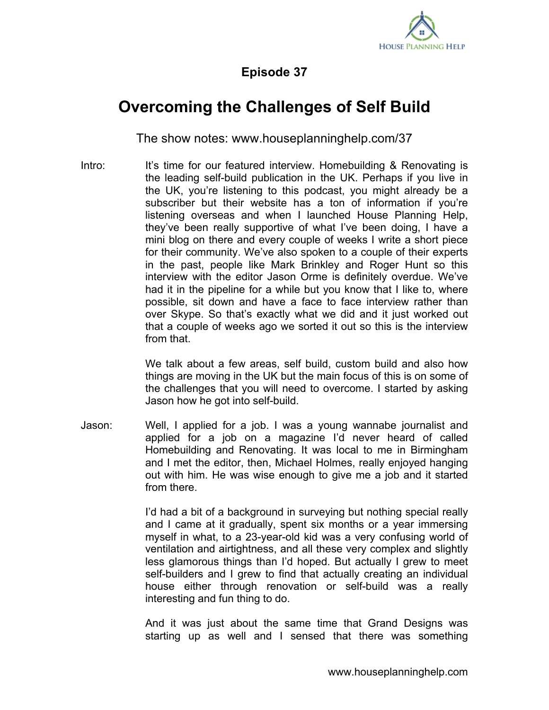

## **Episode 37**

## **Overcoming the Challenges of Self Build**

The show notes: www.houseplanninghelp.com/37

Intro: It's time for our featured interview. Homebuilding & Renovating is the leading self-build publication in the UK. Perhaps if you live in the UK, you're listening to this podcast, you might already be a subscriber but their website has a ton of information if you're listening overseas and when I launched House Planning Help, they've been really supportive of what I've been doing, I have a mini blog on there and every couple of weeks I write a short piece for their community. We've also spoken to a couple of their experts in the past, people like Mark Brinkley and Roger Hunt so this interview with the editor Jason Orme is definitely overdue. We've had it in the pipeline for a while but you know that I like to, where possible, sit down and have a face to face interview rather than over Skype. So that's exactly what we did and it just worked out that a couple of weeks ago we sorted it out so this is the interview from that.

> We talk about a few areas, self build, custom build and also how things are moving in the UK but the main focus of this is on some of the challenges that you will need to overcome. I started by asking Jason how he got into self-build.

Jason: Well, I applied for a job. I was a young wannabe journalist and applied for a job on a magazine I'd never heard of called Homebuilding and Renovating. It was local to me in Birmingham and I met the editor, then, Michael Holmes, really enjoyed hanging out with him. He was wise enough to give me a job and it started from there.

> I'd had a bit of a background in surveying but nothing special really and I came at it gradually, spent six months or a year immersing myself in what, to a 23-year-old kid was a very confusing world of ventilation and airtightness, and all these very complex and slightly less glamorous things than I'd hoped. But actually I grew to meet self-builders and I grew to find that actually creating an individual house either through renovation or self-build was a really interesting and fun thing to do.

> And it was just about the same time that Grand Designs was starting up as well and I sensed that there was something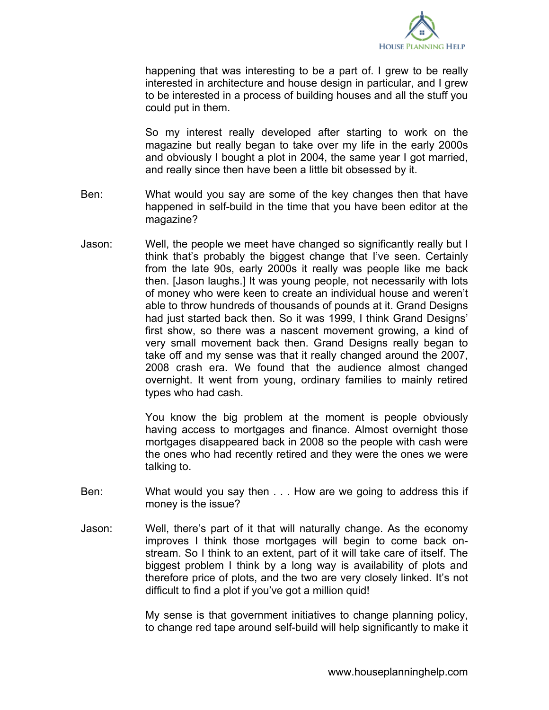

happening that was interesting to be a part of. I grew to be really interested in architecture and house design in particular, and I grew to be interested in a process of building houses and all the stuff you could put in them.

So my interest really developed after starting to work on the magazine but really began to take over my life in the early 2000s and obviously I bought a plot in 2004, the same year I got married, and really since then have been a little bit obsessed by it.

- Ben: What would you say are some of the key changes then that have happened in self-build in the time that you have been editor at the magazine?
- Jason: Well, the people we meet have changed so significantly really but I think that's probably the biggest change that I've seen. Certainly from the late 90s, early 2000s it really was people like me back then. [Jason laughs.] It was young people, not necessarily with lots of money who were keen to create an individual house and weren't able to throw hundreds of thousands of pounds at it. Grand Designs had just started back then. So it was 1999, I think Grand Designs' first show, so there was a nascent movement growing, a kind of very small movement back then. Grand Designs really began to take off and my sense was that it really changed around the 2007, 2008 crash era. We found that the audience almost changed overnight. It went from young, ordinary families to mainly retired types who had cash.

You know the big problem at the moment is people obviously having access to mortgages and finance. Almost overnight those mortgages disappeared back in 2008 so the people with cash were the ones who had recently retired and they were the ones we were talking to.

- Ben: What would you say then . . . How are we going to address this if money is the issue?
- Jason: Well, there's part of it that will naturally change. As the economy improves I think those mortgages will begin to come back onstream. So I think to an extent, part of it will take care of itself. The biggest problem I think by a long way is availability of plots and therefore price of plots, and the two are very closely linked. It's not difficult to find a plot if you've got a million quid!

My sense is that government initiatives to change planning policy, to change red tape around self-build will help significantly to make it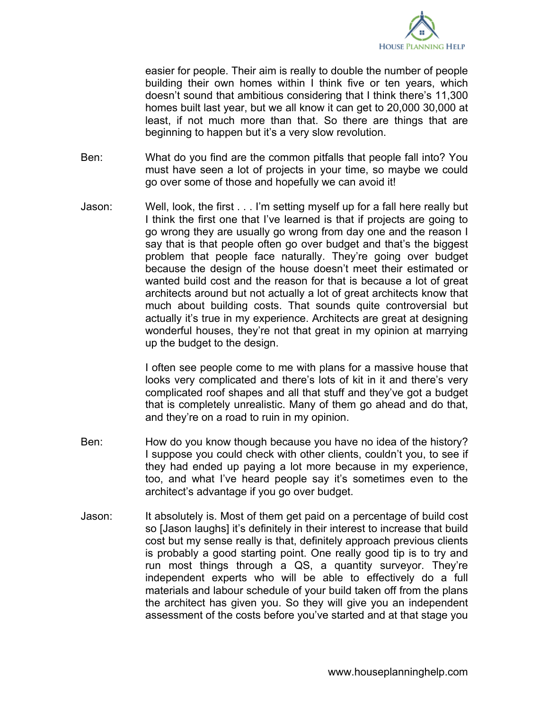

easier for people. Their aim is really to double the number of people building their own homes within I think five or ten years, which doesn't sound that ambitious considering that I think there's 11,300 homes built last year, but we all know it can get to 20,000 30,000 at least, if not much more than that. So there are things that are beginning to happen but it's a very slow revolution.

- Ben: What do you find are the common pitfalls that people fall into? You must have seen a lot of projects in your time, so maybe we could go over some of those and hopefully we can avoid it!
- Jason: Well, look, the first . . . I'm setting myself up for a fall here really but I think the first one that I've learned is that if projects are going to go wrong they are usually go wrong from day one and the reason I say that is that people often go over budget and that's the biggest problem that people face naturally. They're going over budget because the design of the house doesn't meet their estimated or wanted build cost and the reason for that is because a lot of great architects around but not actually a lot of great architects know that much about building costs. That sounds quite controversial but actually it's true in my experience. Architects are great at designing wonderful houses, they're not that great in my opinion at marrying up the budget to the design.

I often see people come to me with plans for a massive house that looks very complicated and there's lots of kit in it and there's very complicated roof shapes and all that stuff and they've got a budget that is completely unrealistic. Many of them go ahead and do that, and they're on a road to ruin in my opinion.

- Ben: How do you know though because you have no idea of the history? I suppose you could check with other clients, couldn't you, to see if they had ended up paying a lot more because in my experience, too, and what I've heard people say it's sometimes even to the architect's advantage if you go over budget.
- Jason: It absolutely is. Most of them get paid on a percentage of build cost so [Jason laughs] it's definitely in their interest to increase that build cost but my sense really is that, definitely approach previous clients is probably a good starting point. One really good tip is to try and run most things through a QS, a quantity surveyor. They're independent experts who will be able to effectively do a full materials and labour schedule of your build taken off from the plans the architect has given you. So they will give you an independent assessment of the costs before you've started and at that stage you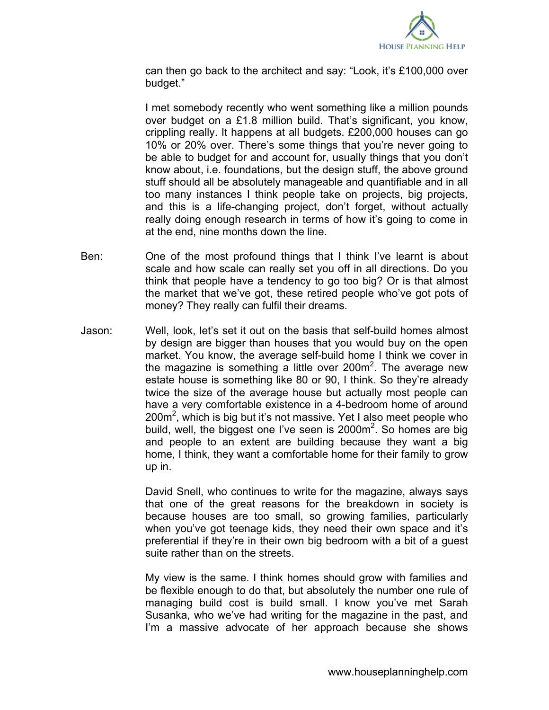

can then go back to the architect and say: "Look, it's £100,000 over budget."

I met somebody recently who went something like a million pounds over budget on a £1.8 million build. That's significant, you know, crippling really. It happens at all budgets. £200,000 houses can go 10% or 20% over. There's some things that you're never going to be able to budget for and account for, usually things that you don't know about, i.e. foundations, but the design stuff, the above ground stuff should all be absolutely manageable and quantifiable and in all too many instances I think people take on projects, big projects, and this is a life-changing project, don't forget, without actually really doing enough research in terms of how it's going to come in at the end, nine months down the line.

- Ben: One of the most profound things that I think I've learnt is about scale and how scale can really set you off in all directions. Do you think that people have a tendency to go too big? Or is that almost the market that we've got, these retired people who've got pots of money? They really can fulfil their dreams.
- Jason: Well, look, let's set it out on the basis that self-build homes almost by design are bigger than houses that you would buy on the open market. You know, the average self-build home I think we cover in the magazine is something a little over 200 $m^2$ . The average new estate house is something like 80 or 90, I think. So they're already twice the size of the average house but actually most people can have a very comfortable existence in a 4-bedroom home of around 200 $m^2$ , which is big but it's not massive. Yet I also meet people who build, well, the biggest one I've seen is 2000 $m^2$ . So homes are big and people to an extent are building because they want a big home, I think, they want a comfortable home for their family to grow up in.

David Snell, who continues to write for the magazine, always says that one of the great reasons for the breakdown in society is because houses are too small, so growing families, particularly when you've got teenage kids, they need their own space and it's preferential if they're in their own big bedroom with a bit of a guest suite rather than on the streets.

My view is the same. I think homes should grow with families and be flexible enough to do that, but absolutely the number one rule of managing build cost is build small. I know you've met Sarah Susanka, who we've had writing for the magazine in the past, and I'm a massive advocate of her approach because she shows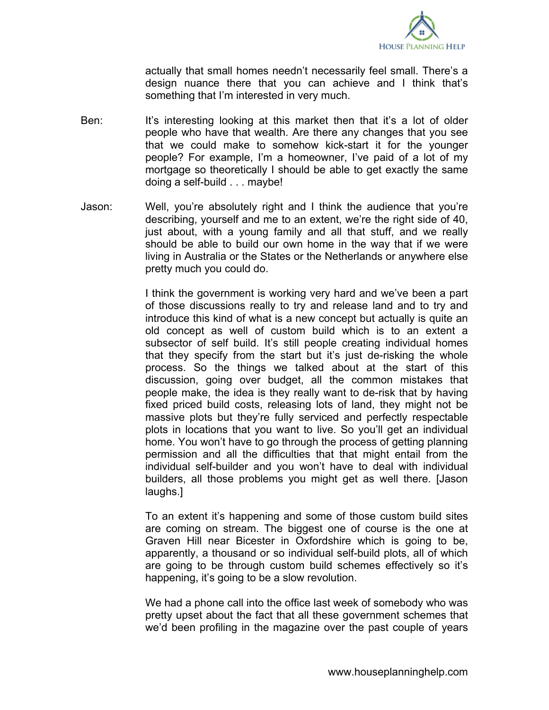

actually that small homes needn't necessarily feel small. There's a design nuance there that you can achieve and I think that's something that I'm interested in very much.

- Ben: It's interesting looking at this market then that it's a lot of older people who have that wealth. Are there any changes that you see that we could make to somehow kick-start it for the younger people? For example, I'm a homeowner, I've paid of a lot of my mortgage so theoretically I should be able to get exactly the same doing a self-build . . . maybe!
- Jason: Well, you're absolutely right and I think the audience that you're describing, yourself and me to an extent, we're the right side of 40, just about, with a young family and all that stuff, and we really should be able to build our own home in the way that if we were living in Australia or the States or the Netherlands or anywhere else pretty much you could do.

I think the government is working very hard and we've been a part of those discussions really to try and release land and to try and introduce this kind of what is a new concept but actually is quite an old concept as well of custom build which is to an extent a subsector of self build. It's still people creating individual homes that they specify from the start but it's just de-risking the whole process. So the things we talked about at the start of this discussion, going over budget, all the common mistakes that people make, the idea is they really want to de-risk that by having fixed priced build costs, releasing lots of land, they might not be massive plots but they're fully serviced and perfectly respectable plots in locations that you want to live. So you'll get an individual home. You won't have to go through the process of getting planning permission and all the difficulties that that might entail from the individual self-builder and you won't have to deal with individual builders, all those problems you might get as well there. [Jason laughs.]

To an extent it's happening and some of those custom build sites are coming on stream. The biggest one of course is the one at Graven Hill near Bicester in Oxfordshire which is going to be, apparently, a thousand or so individual self-build plots, all of which are going to be through custom build schemes effectively so it's happening, it's going to be a slow revolution.

We had a phone call into the office last week of somebody who was pretty upset about the fact that all these government schemes that we'd been profiling in the magazine over the past couple of years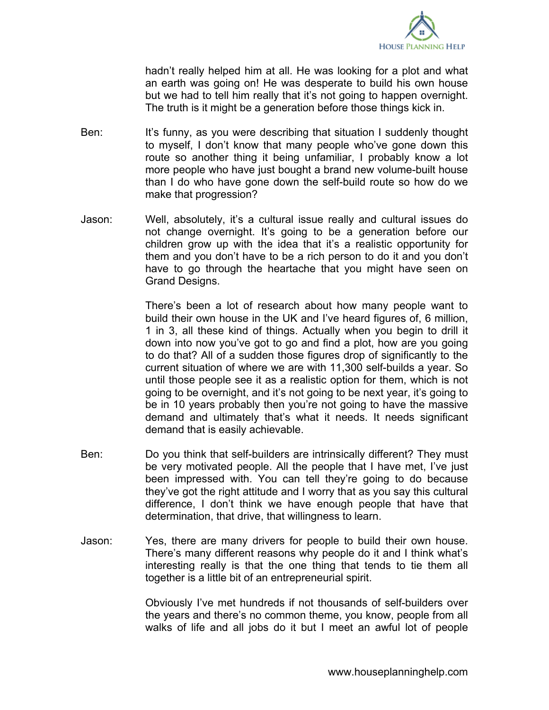

hadn't really helped him at all. He was looking for a plot and what an earth was going on! He was desperate to build his own house but we had to tell him really that it's not going to happen overnight. The truth is it might be a generation before those things kick in.

- Ben: It's funny, as you were describing that situation I suddenly thought to myself, I don't know that many people who've gone down this route so another thing it being unfamiliar, I probably know a lot more people who have just bought a brand new volume-built house than I do who have gone down the self-build route so how do we make that progression?
- Jason: Well, absolutely, it's a cultural issue really and cultural issues do not change overnight. It's going to be a generation before our children grow up with the idea that it's a realistic opportunity for them and you don't have to be a rich person to do it and you don't have to go through the heartache that you might have seen on Grand Designs.

There's been a lot of research about how many people want to build their own house in the UK and I've heard figures of, 6 million, 1 in 3, all these kind of things. Actually when you begin to drill it down into now you've got to go and find a plot, how are you going to do that? All of a sudden those figures drop of significantly to the current situation of where we are with 11,300 self-builds a year. So until those people see it as a realistic option for them, which is not going to be overnight, and it's not going to be next year, it's going to be in 10 years probably then you're not going to have the massive demand and ultimately that's what it needs. It needs significant demand that is easily achievable.

- Ben: Do you think that self-builders are intrinsically different? They must be very motivated people. All the people that I have met, I've just been impressed with. You can tell they're going to do because they've got the right attitude and I worry that as you say this cultural difference, I don't think we have enough people that have that determination, that drive, that willingness to learn.
- Jason: Yes, there are many drivers for people to build their own house. There's many different reasons why people do it and I think what's interesting really is that the one thing that tends to tie them all together is a little bit of an entrepreneurial spirit.

Obviously I've met hundreds if not thousands of self-builders over the years and there's no common theme, you know, people from all walks of life and all jobs do it but I meet an awful lot of people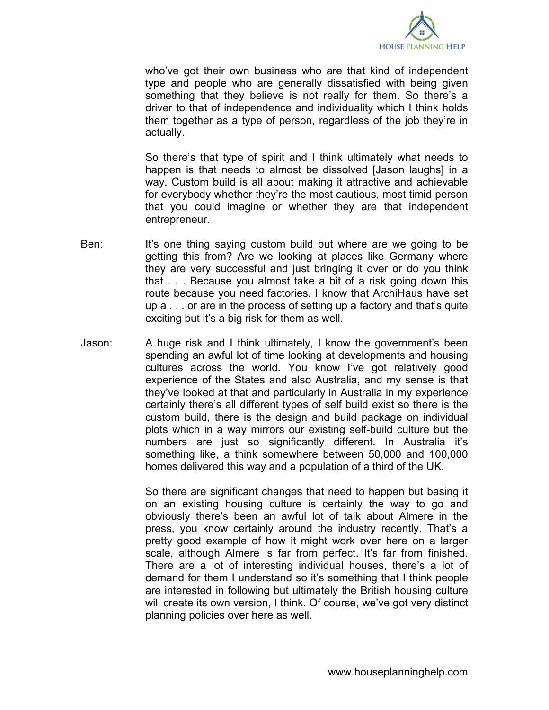

who've got their own business who are that kind of independent type and people who are generally dissatisfied with being given something that they believe is not really for them. So there's a driver to that of independence and individuality which I think holds them together as a type of person, regardless of the job they're in actually.

So there's that type of spirit and I think ultimately what needs to happen is that needs to almost be dissolved [Jason laughs] in a way. Custom build is all about making it attractive and achievable for everybody whether they're the most cautious, most timid person that you could imagine or whether they are that independent entrepreneur.

- Ben: It's one thing saying custom build but where are we going to be getting this from? Are we looking at places like Germany where they are very successful and just bringing it over or do you think that . . . Because you almost take a bit of a risk going down this route because you need factories. I know that ArchiHaus have set up a . . . or are in the process of setting up a factory and that's quite exciting but it's a big risk for them as well.
- Jason: A huge risk and I think ultimately, I know the government's been spending an awful lot of time looking at developments and housing cultures across the world. You know I've got relatively good experience of the States and also Australia, and my sense is that they've looked at that and particularly in Australia in my experience certainly there's all different types of self build exist so there is the custom build, there is the design and build package on individual plots which in a way mirrors our existing self-build culture but the numbers are just so significantly different. In Australia it's something like, a think somewhere between 50,000 and 100,000 homes delivered this way and a population of a third of the UK.

So there are significant changes that need to happen but basing it on an existing housing culture is certainly the way to go and obviously there's been an awful lot of talk about Almere in the press, you know certainly around the industry recently. That's a pretty good example of how it might work over here on a larger scale, although Almere is far from perfect. It's far from finished. There are a lot of interesting individual houses, there's a lot of demand for them I understand so it's something that I think people are interested in following but ultimately the British housing culture will create its own version, I think. Of course, we've got very distinct planning policies over here as well.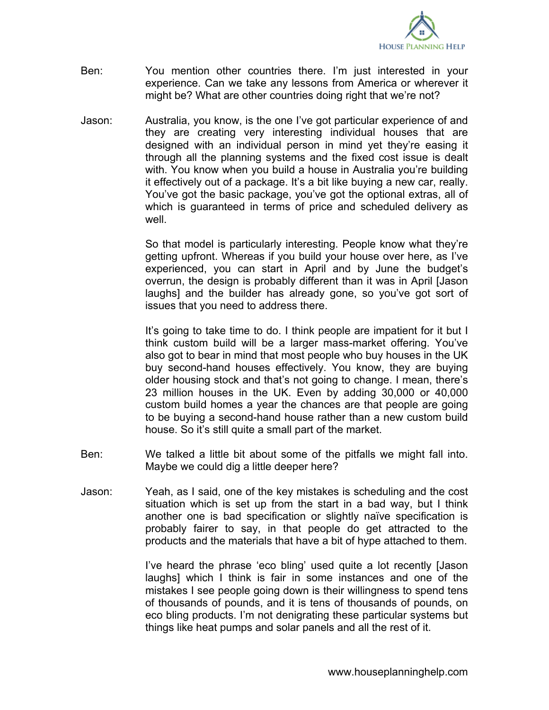

- Ben: You mention other countries there. I'm just interested in your experience. Can we take any lessons from America or wherever it might be? What are other countries doing right that we're not?
- Jason: Australia, you know, is the one I've got particular experience of and they are creating very interesting individual houses that are designed with an individual person in mind yet they're easing it through all the planning systems and the fixed cost issue is dealt with. You know when you build a house in Australia you're building it effectively out of a package. It's a bit like buying a new car, really. You've got the basic package, you've got the optional extras, all of which is guaranteed in terms of price and scheduled delivery as well.

So that model is particularly interesting. People know what they're getting upfront. Whereas if you build your house over here, as I've experienced, you can start in April and by June the budget's overrun, the design is probably different than it was in April [Jason laughs] and the builder has already gone, so you've got sort of issues that you need to address there.

It's going to take time to do. I think people are impatient for it but I think custom build will be a larger mass-market offering. You've also got to bear in mind that most people who buy houses in the UK buy second-hand houses effectively. You know, they are buying older housing stock and that's not going to change. I mean, there's 23 million houses in the UK. Even by adding 30,000 or 40,000 custom build homes a year the chances are that people are going to be buying a second-hand house rather than a new custom build house. So it's still quite a small part of the market.

- Ben: We talked a little bit about some of the pitfalls we might fall into. Maybe we could dig a little deeper here?
- Jason: Yeah, as I said, one of the key mistakes is scheduling and the cost situation which is set up from the start in a bad way, but I think another one is bad specification or slightly naïve specification is probably fairer to say, in that people do get attracted to the products and the materials that have a bit of hype attached to them.

I've heard the phrase 'eco bling' used quite a lot recently [Jason laughs] which I think is fair in some instances and one of the mistakes I see people going down is their willingness to spend tens of thousands of pounds, and it is tens of thousands of pounds, on eco bling products. I'm not denigrating these particular systems but things like heat pumps and solar panels and all the rest of it.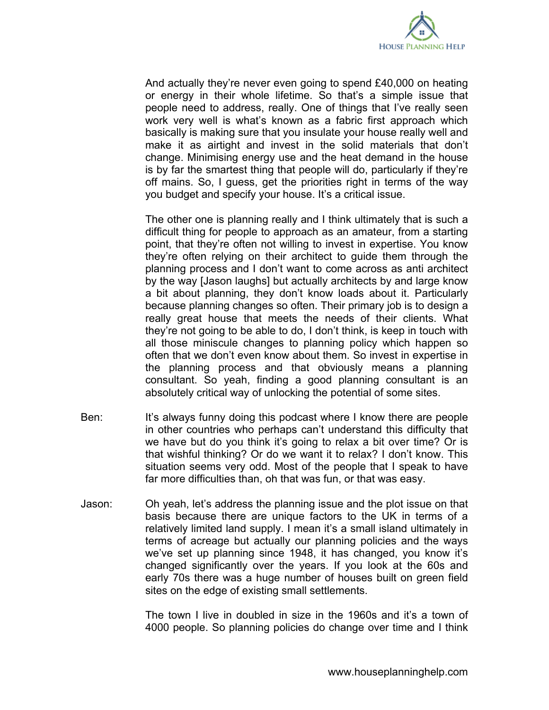

And actually they're never even going to spend £40,000 on heating or energy in their whole lifetime. So that's a simple issue that people need to address, really. One of things that I've really seen work very well is what's known as a fabric first approach which basically is making sure that you insulate your house really well and make it as airtight and invest in the solid materials that don't change. Minimising energy use and the heat demand in the house is by far the smartest thing that people will do, particularly if they're off mains. So, I guess, get the priorities right in terms of the way you budget and specify your house. It's a critical issue.

The other one is planning really and I think ultimately that is such a difficult thing for people to approach as an amateur, from a starting point, that they're often not willing to invest in expertise. You know they're often relying on their architect to guide them through the planning process and I don't want to come across as anti architect by the way [Jason laughs] but actually architects by and large know a bit about planning, they don't know loads about it. Particularly because planning changes so often. Their primary job is to design a really great house that meets the needs of their clients. What they're not going to be able to do, I don't think, is keep in touch with all those miniscule changes to planning policy which happen so often that we don't even know about them. So invest in expertise in the planning process and that obviously means a planning consultant. So yeah, finding a good planning consultant is an absolutely critical way of unlocking the potential of some sites.

- Ben: It's always funny doing this podcast where I know there are people in other countries who perhaps can't understand this difficulty that we have but do you think it's going to relax a bit over time? Or is that wishful thinking? Or do we want it to relax? I don't know. This situation seems very odd. Most of the people that I speak to have far more difficulties than, oh that was fun, or that was easy.
- Jason: Oh yeah, let's address the planning issue and the plot issue on that basis because there are unique factors to the UK in terms of a relatively limited land supply. I mean it's a small island ultimately in terms of acreage but actually our planning policies and the ways we've set up planning since 1948, it has changed, you know it's changed significantly over the years. If you look at the 60s and early 70s there was a huge number of houses built on green field sites on the edge of existing small settlements.

The town I live in doubled in size in the 1960s and it's a town of 4000 people. So planning policies do change over time and I think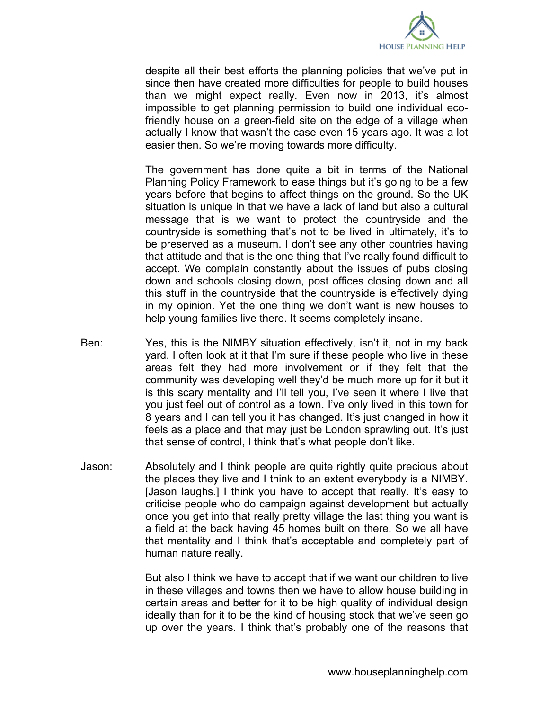

despite all their best efforts the planning policies that we've put in since then have created more difficulties for people to build houses than we might expect really. Even now in 2013, it's almost impossible to get planning permission to build one individual ecofriendly house on a green-field site on the edge of a village when actually I know that wasn't the case even 15 years ago. It was a lot easier then. So we're moving towards more difficulty.

The government has done quite a bit in terms of the National Planning Policy Framework to ease things but it's going to be a few years before that begins to affect things on the ground. So the UK situation is unique in that we have a lack of land but also a cultural message that is we want to protect the countryside and the countryside is something that's not to be lived in ultimately, it's to be preserved as a museum. I don't see any other countries having that attitude and that is the one thing that I've really found difficult to accept. We complain constantly about the issues of pubs closing down and schools closing down, post offices closing down and all this stuff in the countryside that the countryside is effectively dying in my opinion. Yet the one thing we don't want is new houses to help young families live there. It seems completely insane.

- Ben: Yes, this is the NIMBY situation effectively, isn't it, not in my back yard. I often look at it that I'm sure if these people who live in these areas felt they had more involvement or if they felt that the community was developing well they'd be much more up for it but it is this scary mentality and I'll tell you, I've seen it where I live that you just feel out of control as a town. I've only lived in this town for 8 years and I can tell you it has changed. It's just changed in how it feels as a place and that may just be London sprawling out. It's just that sense of control, I think that's what people don't like.
- Jason: Absolutely and I think people are quite rightly quite precious about the places they live and I think to an extent everybody is a NIMBY. [Jason laughs.] I think you have to accept that really. It's easy to criticise people who do campaign against development but actually once you get into that really pretty village the last thing you want is a field at the back having 45 homes built on there. So we all have that mentality and I think that's acceptable and completely part of human nature really.

But also I think we have to accept that if we want our children to live in these villages and towns then we have to allow house building in certain areas and better for it to be high quality of individual design ideally than for it to be the kind of housing stock that we've seen go up over the years. I think that's probably one of the reasons that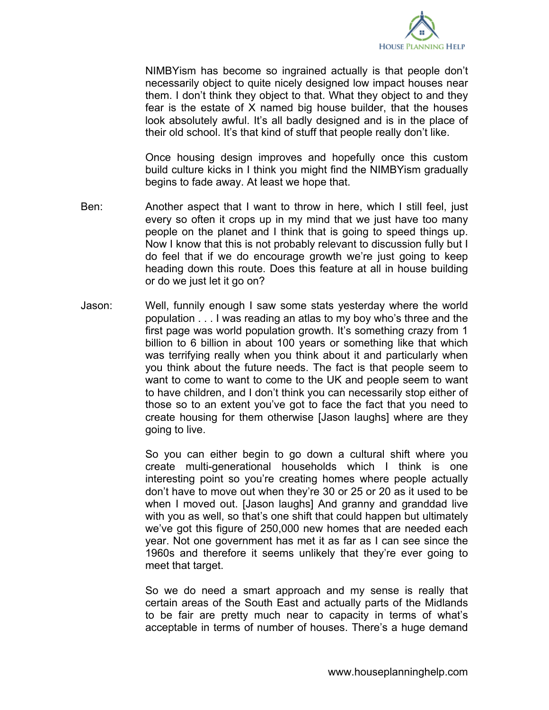

NIMBYism has become so ingrained actually is that people don't necessarily object to quite nicely designed low impact houses near them. I don't think they object to that. What they object to and they fear is the estate of X named big house builder, that the houses look absolutely awful. It's all badly designed and is in the place of their old school. It's that kind of stuff that people really don't like.

Once housing design improves and hopefully once this custom build culture kicks in I think you might find the NIMBYism gradually begins to fade away. At least we hope that.

- Ben: Another aspect that I want to throw in here, which I still feel, just every so often it crops up in my mind that we just have too many people on the planet and I think that is going to speed things up. Now I know that this is not probably relevant to discussion fully but I do feel that if we do encourage growth we're just going to keep heading down this route. Does this feature at all in house building or do we just let it go on?
- Jason: Well, funnily enough I saw some stats yesterday where the world population . . . I was reading an atlas to my boy who's three and the first page was world population growth. It's something crazy from 1 billion to 6 billion in about 100 years or something like that which was terrifying really when you think about it and particularly when you think about the future needs. The fact is that people seem to want to come to want to come to the UK and people seem to want to have children, and I don't think you can necessarily stop either of those so to an extent you've got to face the fact that you need to create housing for them otherwise [Jason laughs] where are they going to live.

So you can either begin to go down a cultural shift where you create multi-generational households which I think is one interesting point so you're creating homes where people actually don't have to move out when they're 30 or 25 or 20 as it used to be when I moved out. [Jason laughs] And granny and granddad live with you as well, so that's one shift that could happen but ultimately we've got this figure of 250,000 new homes that are needed each year. Not one government has met it as far as I can see since the 1960s and therefore it seems unlikely that they're ever going to meet that target.

So we do need a smart approach and my sense is really that certain areas of the South East and actually parts of the Midlands to be fair are pretty much near to capacity in terms of what's acceptable in terms of number of houses. There's a huge demand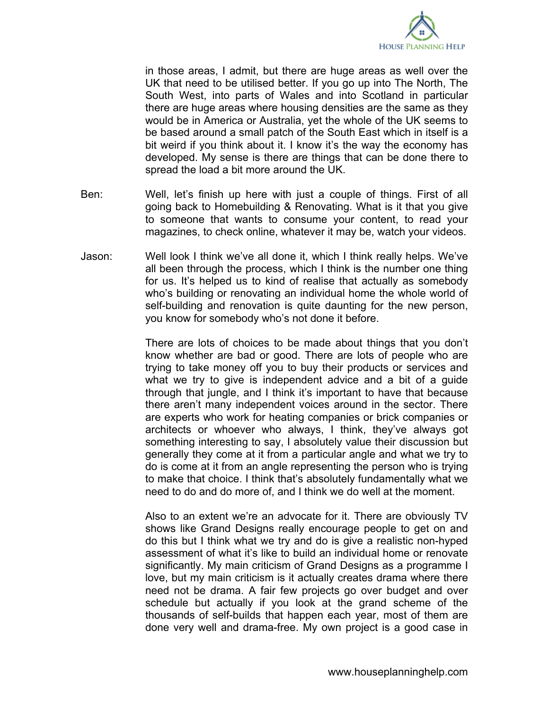

in those areas, I admit, but there are huge areas as well over the UK that need to be utilised better. If you go up into The North, The South West, into parts of Wales and into Scotland in particular there are huge areas where housing densities are the same as they would be in America or Australia, yet the whole of the UK seems to be based around a small patch of the South East which in itself is a bit weird if you think about it. I know it's the way the economy has developed. My sense is there are things that can be done there to spread the load a bit more around the UK.

- Ben: Well, let's finish up here with just a couple of things. First of all going back to Homebuilding & Renovating. What is it that you give to someone that wants to consume your content, to read your magazines, to check online, whatever it may be, watch your videos.
- Jason: Well look I think we've all done it, which I think really helps. We've all been through the process, which I think is the number one thing for us. It's helped us to kind of realise that actually as somebody who's building or renovating an individual home the whole world of self-building and renovation is quite daunting for the new person, you know for somebody who's not done it before.

There are lots of choices to be made about things that you don't know whether are bad or good. There are lots of people who are trying to take money off you to buy their products or services and what we try to give is independent advice and a bit of a guide through that jungle, and I think it's important to have that because there aren't many independent voices around in the sector. There are experts who work for heating companies or brick companies or architects or whoever who always, I think, they've always got something interesting to say, I absolutely value their discussion but generally they come at it from a particular angle and what we try to do is come at it from an angle representing the person who is trying to make that choice. I think that's absolutely fundamentally what we need to do and do more of, and I think we do well at the moment.

Also to an extent we're an advocate for it. There are obviously TV shows like Grand Designs really encourage people to get on and do this but I think what we try and do is give a realistic non-hyped assessment of what it's like to build an individual home or renovate significantly. My main criticism of Grand Designs as a programme I love, but my main criticism is it actually creates drama where there need not be drama. A fair few projects go over budget and over schedule but actually if you look at the grand scheme of the thousands of self-builds that happen each year, most of them are done very well and drama-free. My own project is a good case in